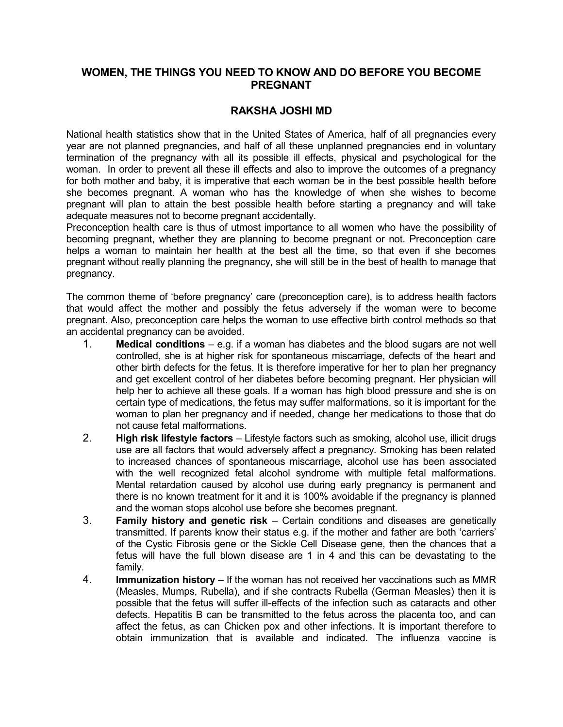## **WOMEN, THE THINGS YOU NEED TO KNOW AND DO BEFORE YOU BECOME PREGNANT**

## **RAKSHA JOSHI MD**

National health statistics show that in the United States of America, half of all pregnancies every year are not planned pregnancies, and half of all these unplanned pregnancies end in voluntary termination of the pregnancy with all its possible ill effects, physical and psychological for the woman. In order to prevent all these ill effects and also to improve the outcomes of a pregnancy for both mother and baby, it is imperative that each woman be in the best possible health before she becomes pregnant. A woman who has the knowledge of when she wishes to become pregnant will plan to attain the best possible health before starting a pregnancy and will take adequate measures not to become pregnant accidentally.

Preconception health care is thus of utmost importance to all women who have the possibility of becoming pregnant, whether they are planning to become pregnant or not. Preconception care helps a woman to maintain her health at the best all the time, so that even if she becomes pregnant without really planning the pregnancy, she will still be in the best of health to manage that pregnancy.

The common theme of 'before pregnancy' care (preconception care), is to address health factors that would affect the mother and possibly the fetus adversely if the woman were to become pregnant. Also, preconception care helps the woman to use effective birth control methods so that an accidental pregnancy can be avoided.

- 1. **Medical conditions** e.g. if a woman has diabetes and the blood sugars are not well controlled, she is at higher risk for spontaneous miscarriage, defects of the heart and other birth defects for the fetus. It is therefore imperative for her to plan her pregnancy and get excellent control of her diabetes before becoming pregnant. Her physician will help her to achieve all these goals. If a woman has high blood pressure and she is on certain type of medications, the fetus may suffer malformations, so it is important for the woman to plan her pregnancy and if needed, change her medications to those that do not cause fetal malformations.
- 2. **High risk lifestyle factors** Lifestyle factors such as smoking, alcohol use, illicit drugs use are all factors that would adversely affect a pregnancy. Smoking has been related to increased chances of spontaneous miscarriage, alcohol use has been associated with the well recognized fetal alcohol syndrome with multiple fetal malformations. Mental retardation caused by alcohol use during early pregnancy is permanent and there is no known treatment for it and it is 100% avoidable if the pregnancy is planned and the woman stops alcohol use before she becomes pregnant.
- 3. **Family history and genetic risk**  Certain conditions and diseases are genetically transmitted. If parents know their status e.g. if the mother and father are both 'carriers' of the Cystic Fibrosis gene or the Sickle Cell Disease gene, then the chances that a fetus will have the full blown disease are 1 in 4 and this can be devastating to the family.
- 4. **Immunization history**  If the woman has not received her vaccinations such as MMR (Measles, Mumps, Rubella), and if she contracts Rubella (German Measles) then it is possible that the fetus will suffer ill-effects of the infection such as cataracts and other defects. Hepatitis B can be transmitted to the fetus across the placenta too, and can affect the fetus, as can Chicken pox and other infections. It is important therefore to obtain immunization that is available and indicated. The influenza vaccine is